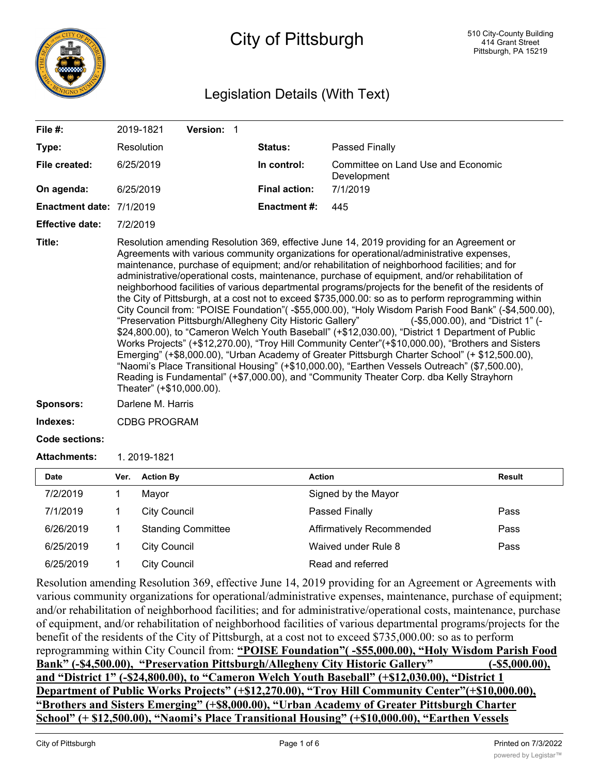

# City of Pittsburgh

### Legislation Details (With Text)

| File $#$ :               | 2019-1821                | Version: 1                                                |                      |                                                                                                                                                                                                                                                                                                                                                                                                                                                                                                                                                                                                                                                                                                                                                                                                                                                                                                                                                                                                                                                                                                                                                                                                                                                             |  |
|--------------------------|--------------------------|-----------------------------------------------------------|----------------------|-------------------------------------------------------------------------------------------------------------------------------------------------------------------------------------------------------------------------------------------------------------------------------------------------------------------------------------------------------------------------------------------------------------------------------------------------------------------------------------------------------------------------------------------------------------------------------------------------------------------------------------------------------------------------------------------------------------------------------------------------------------------------------------------------------------------------------------------------------------------------------------------------------------------------------------------------------------------------------------------------------------------------------------------------------------------------------------------------------------------------------------------------------------------------------------------------------------------------------------------------------------|--|
| Type:                    | Resolution               |                                                           | Status:              | <b>Passed Finally</b>                                                                                                                                                                                                                                                                                                                                                                                                                                                                                                                                                                                                                                                                                                                                                                                                                                                                                                                                                                                                                                                                                                                                                                                                                                       |  |
| File created:            | 6/25/2019                |                                                           | In control:          | Committee on Land Use and Economic<br>Development                                                                                                                                                                                                                                                                                                                                                                                                                                                                                                                                                                                                                                                                                                                                                                                                                                                                                                                                                                                                                                                                                                                                                                                                           |  |
| On agenda:               | 6/25/2019                |                                                           | <b>Final action:</b> | 7/1/2019                                                                                                                                                                                                                                                                                                                                                                                                                                                                                                                                                                                                                                                                                                                                                                                                                                                                                                                                                                                                                                                                                                                                                                                                                                                    |  |
| Enactment date: 7/1/2019 |                          |                                                           | <b>Enactment #:</b>  | 445                                                                                                                                                                                                                                                                                                                                                                                                                                                                                                                                                                                                                                                                                                                                                                                                                                                                                                                                                                                                                                                                                                                                                                                                                                                         |  |
| <b>Effective date:</b>   | 7/2/2019                 |                                                           |                      |                                                                                                                                                                                                                                                                                                                                                                                                                                                                                                                                                                                                                                                                                                                                                                                                                                                                                                                                                                                                                                                                                                                                                                                                                                                             |  |
| Title:                   | Theater" (+\$10,000.00). | "Preservation Pittsburgh/Allegheny City Historic Gallery" |                      | Resolution amending Resolution 369, effective June 14, 2019 providing for an Agreement or<br>Agreements with various community organizations for operational/administrative expenses,<br>maintenance, purchase of equipment; and/or rehabilitation of neighborhood facilities; and for<br>administrative/operational costs, maintenance, purchase of equipment, and/or rehabilitation of<br>neighborhood facilities of various departmental programs/projects for the benefit of the residents of<br>the City of Pittsburgh, at a cost not to exceed \$735,000.00: so as to perform reprogramming within<br>City Council from: "POISE Foundation"(-\$55,000.00), "Holy Wisdom Parish Food Bank" (-\$4,500.00),<br>(-\$5,000.00), and "District 1" (-<br>\$24,800.00), to "Cameron Welch Youth Baseball" (+\$12,030.00), "District 1 Department of Public<br>Works Projects" (+\$12,270.00), "Troy Hill Community Center"(+\$10,000.00), "Brothers and Sisters<br>Emerging" (+\$8,000.00), "Urban Academy of Greater Pittsburgh Charter School" (+ \$12,500.00),<br>"Naomi's Place Transitional Housing" (+\$10,000.00), "Earthen Vessels Outreach" (\$7,500.00),<br>Reading is Fundamental" (+\$7,000.00), and "Community Theater Corp. dba Kelly Strayhorn |  |
| <b>Sponsors:</b>         | Darlene M. Harris        |                                                           |                      |                                                                                                                                                                                                                                                                                                                                                                                                                                                                                                                                                                                                                                                                                                                                                                                                                                                                                                                                                                                                                                                                                                                                                                                                                                                             |  |
| Indexes:                 | <b>CDBG PROGRAM</b>      |                                                           |                      |                                                                                                                                                                                                                                                                                                                                                                                                                                                                                                                                                                                                                                                                                                                                                                                                                                                                                                                                                                                                                                                                                                                                                                                                                                                             |  |
| Code sections:           |                          |                                                           |                      |                                                                                                                                                                                                                                                                                                                                                                                                                                                                                                                                                                                                                                                                                                                                                                                                                                                                                                                                                                                                                                                                                                                                                                                                                                                             |  |
| <b>Attachments:</b>      | 1.2019-1821              |                                                           |                      |                                                                                                                                                                                                                                                                                                                                                                                                                                                                                                                                                                                                                                                                                                                                                                                                                                                                                                                                                                                                                                                                                                                                                                                                                                                             |  |
| Date                     | <b>Action By</b><br>Ver. |                                                           | <b>Action</b>        | <b>Result</b>                                                                                                                                                                                                                                                                                                                                                                                                                                                                                                                                                                                                                                                                                                                                                                                                                                                                                                                                                                                                                                                                                                                                                                                                                                               |  |
| 71010010                 |                          |                                                           |                      |                                                                                                                                                                                                                                                                                                                                                                                                                                                                                                                                                                                                                                                                                                                                                                                                                                                                                                                                                                                                                                                                                                                                                                                                                                                             |  |

| <b>Date</b> | Ver. | <b>Action By</b>          | <b>Action</b>             | <b>Result</b> |
|-------------|------|---------------------------|---------------------------|---------------|
| 7/2/2019    |      | Mayor                     | Signed by the Mayor       |               |
| 7/1/2019    |      | <b>City Council</b>       | Passed Finally            | Pass          |
| 6/26/2019   |      | <b>Standing Committee</b> | Affirmatively Recommended | Pass          |
| 6/25/2019   |      | <b>City Council</b>       | Waived under Rule 8       | Pass          |
| 6/25/2019   |      | <b>City Council</b>       | Read and referred         |               |
|             |      |                           |                           |               |

Resolution amending Resolution 369, effective June 14, 2019 providing for an Agreement or Agreements with various community organizations for operational/administrative expenses, maintenance, purchase of equipment; and/or rehabilitation of neighborhood facilities; and for administrative/operational costs, maintenance, purchase of equipment, and/or rehabilitation of neighborhood facilities of various departmental programs/projects for the benefit of the residents of the City of Pittsburgh, at a cost not to exceed \$735,000.00: so as to perform reprogramming within City Council from: **"POISE Foundation"( -\$55,000.00), "Holy Wisdom Parish Food Bank" (-\$4,500.00), "Preservation Pittsburgh/Allegheny City Historic Gallery" (-\$5,000.00), and "District 1" (-\$24,800.00), to "Cameron Welch Youth Baseball" (+\$12,030.00), "District 1 Department of Public Works Projects" (+\$12,270.00), "Troy Hill Community Center"(+\$10,000.00), "Brothers and Sisters Emerging" (+\$8,000.00), "Urban Academy of Greater Pittsburgh Charter School" (+ \$12,500.00), "Naomi's Place Transitional Housing" (+\$10,000.00), "Earthen Vessels**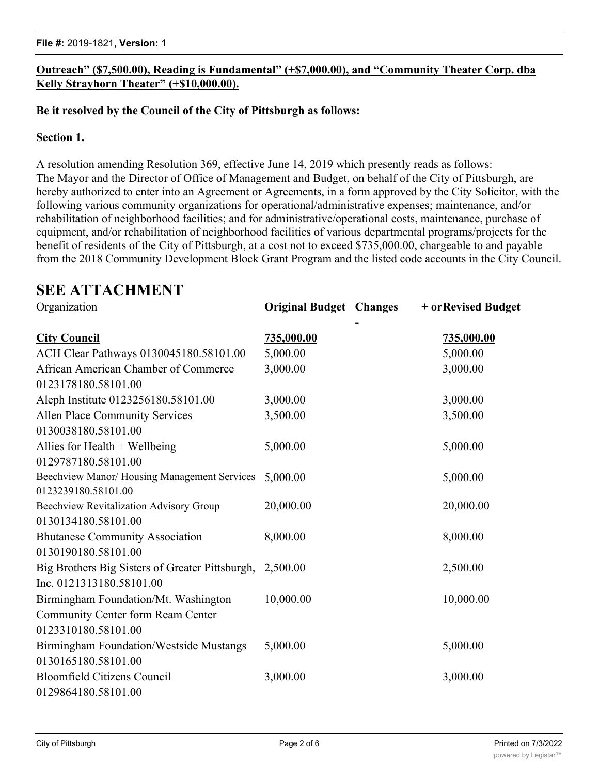#### **Outreach" (\$7,500.00), Reading is Fundamental" (+\$7,000.00), and "Community Theater Corp. dba Kelly Strayhorn Theater" (+\$10,000.00).**

#### **Be it resolved by the Council of the City of Pittsburgh as follows:**

#### **Section 1.**

A resolution amending Resolution 369, effective June 14, 2019 which presently reads as follows: The Mayor and the Director of Office of Management and Budget, on behalf of the City of Pittsburgh, are hereby authorized to enter into an Agreement or Agreements, in a form approved by the City Solicitor, with the following various community organizations for operational/administrative expenses; maintenance, and/or rehabilitation of neighborhood facilities; and for administrative/operational costs, maintenance, purchase of equipment, and/or rehabilitation of neighborhood facilities of various departmental programs/projects for the benefit of residents of the City of Pittsburgh, at a cost not to exceed \$735,000.00, chargeable to and payable from the 2018 Community Development Block Grant Program and the listed code accounts in the City Council.

## **SEE ATTACHMENT**

| Organization                                             | <b>Original Budget Changes</b> | + or Revised Budget |
|----------------------------------------------------------|--------------------------------|---------------------|
| <b>City Council</b>                                      | 735,000.00                     | 735,000.00          |
| ACH Clear Pathways 0130045180.58101.00                   | 5,000.00                       | 5,000.00            |
| African American Chamber of Commerce                     | 3,000.00                       | 3,000.00            |
| 0123178180.58101.00                                      |                                |                     |
| Aleph Institute 0123256180.58101.00                      | 3,000.00                       | 3,000.00            |
| Allen Place Community Services                           | 3,500.00                       | 3,500.00            |
| 0130038180.58101.00                                      |                                |                     |
| Allies for Health $+$ Wellbeing                          | 5,000.00                       | 5,000.00            |
| 0129787180.58101.00                                      |                                |                     |
| Beechview Manor/Housing Management Services              | 5,000.00                       | 5,000.00            |
| 0123239180.58101.00                                      |                                |                     |
| Beechview Revitalization Advisory Group                  | 20,000.00                      | 20,000.00           |
| 0130134180.58101.00                                      |                                |                     |
| <b>Bhutanese Community Association</b>                   | 8,000.00                       | 8,000.00            |
| 0130190180.58101.00                                      |                                |                     |
| Big Brothers Big Sisters of Greater Pittsburgh, 2,500.00 |                                | 2,500.00            |
| Inc. 0121313180.58101.00                                 |                                |                     |
| Birmingham Foundation/Mt. Washington                     | 10,000.00                      | 10,000.00           |
| Community Center form Ream Center                        |                                |                     |
| 0123310180.58101.00                                      |                                |                     |
| Birmingham Foundation/Westside Mustangs                  | 5,000.00                       | 5,000.00            |
| 0130165180.58101.00                                      |                                |                     |
| <b>Bloomfield Citizens Council</b>                       | 3,000.00                       | 3,000.00            |
| 0129864180.58101.00                                      |                                |                     |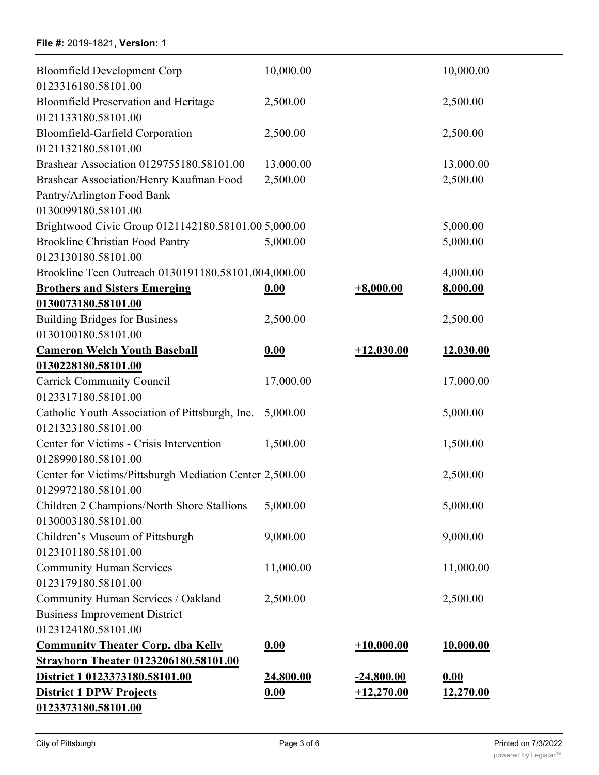| File #: 2019-1821, Version: 1                                      |           |              |           |
|--------------------------------------------------------------------|-----------|--------------|-----------|
| <b>Bloomfield Development Corp</b><br>0123316180.58101.00          | 10,000.00 |              | 10,000.00 |
| <b>Bloomfield Preservation and Heritage</b><br>0121133180.58101.00 | 2,500.00  |              | 2,500.00  |
| Bloomfield-Garfield Corporation                                    | 2,500.00  |              | 2,500.00  |
| 0121132180.58101.00                                                |           |              |           |
| Brashear Association 0129755180.58101.00                           | 13,000.00 |              | 13,000.00 |
| Brashear Association/Henry Kaufman Food                            | 2,500.00  |              | 2,500.00  |
| Pantry/Arlington Food Bank                                         |           |              |           |
| 0130099180.58101.00                                                |           |              |           |
| Brightwood Civic Group 0121142180.58101.00 5,000.00                |           |              | 5,000.00  |
| <b>Brookline Christian Food Pantry</b>                             | 5,000.00  |              | 5,000.00  |
| 0123130180.58101.00                                                |           |              |           |
| Brookline Teen Outreach 0130191180.58101.004,000.00                |           |              | 4,000.00  |
| <b>Brothers and Sisters Emerging</b>                               | 0.00      | $+8,000.00$  | 8,000.00  |
| 0130073180.58101.00                                                |           |              |           |
| <b>Building Bridges for Business</b>                               | 2,500.00  |              | 2,500.00  |
| 0130100180.58101.00                                                |           |              |           |
| <b>Cameron Welch Youth Baseball</b>                                | 0.00      | $+12,030.00$ | 12,030.00 |
| 0130228180.58101.00                                                |           |              |           |
| <b>Carrick Community Council</b>                                   | 17,000.00 |              | 17,000.00 |
| 0123317180.58101.00                                                |           |              |           |
| Catholic Youth Association of Pittsburgh, Inc.                     | 5,000.00  |              | 5,000.00  |
| 0121323180.58101.00                                                |           |              |           |
| Center for Victims - Crisis Intervention                           | 1,500.00  |              | 1,500.00  |
| 0128990180.58101.00                                                |           |              |           |
| Center for Victims/Pittsburgh Mediation Center 2,500.00            |           |              | 2,500.00  |
| 0129972180.58101.00                                                |           |              |           |
| Children 2 Champions/North Shore Stallions                         | 5,000.00  |              | 5,000.00  |
| 0130003180.58101.00                                                |           |              |           |
| Children's Museum of Pittsburgh                                    | 9,000.00  |              | 9,000.00  |
| 0123101180.58101.00                                                |           |              |           |
| <b>Community Human Services</b>                                    | 11,000.00 |              | 11,000.00 |
| 0123179180.58101.00                                                |           |              |           |
| Community Human Services / Oakland                                 | 2,500.00  |              | 2,500.00  |
| <b>Business Improvement District</b>                               |           |              |           |
| 0123124180.58101.00                                                |           |              |           |
| <b>Community Theater Corp. dba Kelly</b>                           | 0.00      | $+10,000.00$ | 10,000.00 |
| Strayhorn Theater 0123206180.58101.00                              |           |              |           |
| District 1 0123373180.58101.00                                     | 24,800.00 | $-24,800.00$ | 0.00      |
| <b>District 1 DPW Projects</b>                                     | 0.00      | $+12,270.00$ | 12,270.00 |
| 0123373180.58101.00                                                |           |              |           |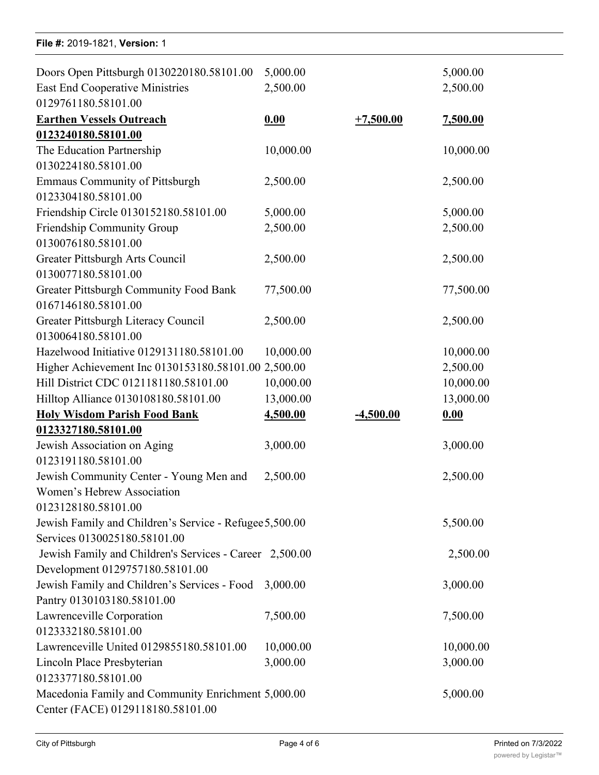| File #: 2019-1821, Version: 1                           |           |             |           |
|---------------------------------------------------------|-----------|-------------|-----------|
| Doors Open Pittsburgh 0130220180.58101.00               | 5,000.00  |             | 5,000.00  |
| <b>East End Cooperative Ministries</b>                  | 2,500.00  |             | 2,500.00  |
| 0129761180.58101.00                                     |           |             |           |
| <b>Earthen Vessels Outreach</b>                         | 0.00      | $+7,500.00$ | 7,500.00  |
| 0123240180.58101.00                                     |           |             |           |
| The Education Partnership                               | 10,000.00 |             | 10,000.00 |
| 0130224180.58101.00                                     |           |             |           |
| <b>Emmaus Community of Pittsburgh</b>                   | 2,500.00  |             | 2,500.00  |
| 0123304180.58101.00                                     |           |             |           |
| Friendship Circle 0130152180.58101.00                   | 5,000.00  |             | 5,000.00  |
| Friendship Community Group                              | 2,500.00  |             | 2,500.00  |
| 0130076180.58101.00                                     |           |             |           |
| Greater Pittsburgh Arts Council                         | 2,500.00  |             | 2,500.00  |
| 0130077180.58101.00                                     |           |             |           |
| Greater Pittsburgh Community Food Bank                  | 77,500.00 |             | 77,500.00 |
| 0167146180.58101.00                                     |           |             |           |
| Greater Pittsburgh Literacy Council                     | 2,500.00  |             | 2,500.00  |
| 0130064180.58101.00                                     |           |             |           |
| Hazelwood Initiative 0129131180.58101.00                | 10,000.00 |             | 10,000.00 |
| Higher Achievement Inc 0130153180.58101.00 2,500.00     |           |             | 2,500.00  |
| Hill District CDC 0121181180.58101.00                   | 10,000.00 |             | 10,000.00 |
| Hilltop Alliance 0130108180.58101.00                    | 13,000.00 |             | 13,000.00 |
| <b>Holy Wisdom Parish Food Bank</b>                     | 4,500.00  | $-4,500.00$ | 0.00      |
| 0123327180.58101.00                                     |           |             |           |
| Jewish Association on Aging                             | 3,000.00  |             | 3,000.00  |
| 0123191180.58101.00                                     |           |             |           |
| Jewish Community Center - Young Men and 2,500.00        |           |             | 2,500.00  |
| Women's Hebrew Association                              |           |             |           |
| 0123128180.58101.00                                     |           |             |           |
| Jewish Family and Children's Service - Refugee 5,500.00 |           |             | 5,500.00  |
| Services 0130025180.58101.00                            |           |             |           |
| Jewish Family and Children's Services - Career 2,500.00 |           |             | 2,500.00  |
| Development 0129757180.58101.00                         |           |             |           |
| Jewish Family and Children's Services - Food            | 3,000.00  |             | 3,000.00  |
| Pantry 0130103180.58101.00                              |           |             |           |
| Lawrenceville Corporation                               | 7,500.00  |             | 7,500.00  |
| 0123332180.58101.00                                     |           |             |           |
| Lawrenceville United 0129855180.58101.00                | 10,000.00 |             | 10,000.00 |
| Lincoln Place Presbyterian                              | 3,000.00  |             | 3,000.00  |
| 0123377180.58101.00                                     |           |             |           |
| Macedonia Family and Community Enrichment 5,000.00      |           |             | 5,000.00  |
| Center (FACE) 0129118180.58101.00                       |           |             |           |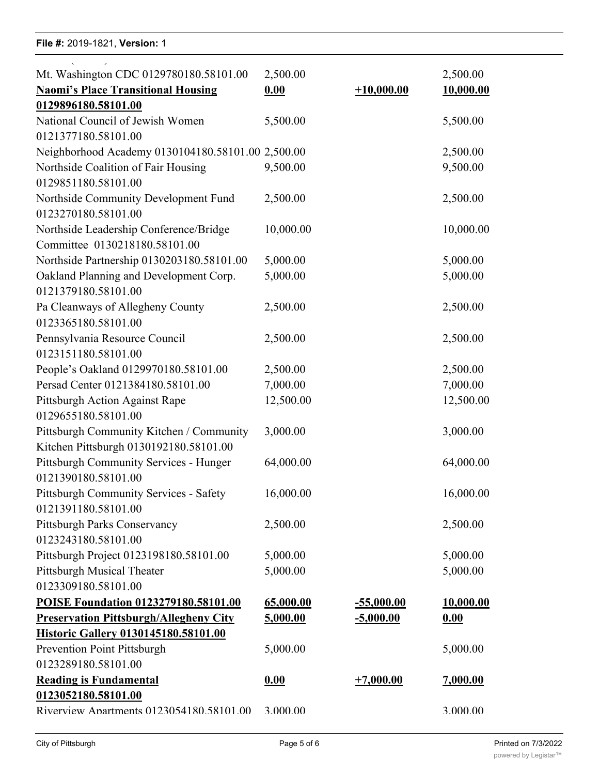#### **File #:** 2019-1821, Version: 1

0123377180.58101.00

| Mt. Washington CDC 0129780180.58101.00<br><b>Naomi's Place Transitional Housing</b><br>0129896180.58101.00 | 2,500.00<br>0.00 | $+10,000.00$      | 2,500.00<br>10,000.00 |
|------------------------------------------------------------------------------------------------------------|------------------|-------------------|-----------------------|
| National Council of Jewish Women                                                                           | 5,500.00         |                   | 5,500.00              |
| 0121377180.58101.00                                                                                        |                  |                   |                       |
| Neighborhood Academy 0130104180.58101.00 2,500.00                                                          |                  |                   | 2,500.00              |
| Northside Coalition of Fair Housing<br>0129851180.58101.00                                                 | 9,500.00         |                   | 9,500.00              |
| Northside Community Development Fund<br>0123270180.58101.00                                                | 2,500.00         |                   | 2,500.00              |
| Northside Leadership Conference/Bridge                                                                     | 10,000.00        |                   | 10,000.00             |
| Committee 0130218180.58101.00                                                                              |                  |                   |                       |
| Northside Partnership 0130203180.58101.00                                                                  | 5,000.00         |                   | 5,000.00              |
| Oakland Planning and Development Corp.                                                                     | 5,000.00         |                   | 5,000.00              |
| 0121379180.58101.00                                                                                        |                  |                   |                       |
| Pa Cleanways of Allegheny County<br>0123365180.58101.00                                                    | 2,500.00         |                   | 2,500.00              |
| Pennsylvania Resource Council                                                                              | 2,500.00         |                   | 2,500.00              |
| 0123151180.58101.00                                                                                        |                  |                   |                       |
| People's Oakland 0129970180.58101.00                                                                       | 2,500.00         |                   | 2,500.00              |
| Persad Center 0121384180.58101.00                                                                          | 7,000.00         |                   | 7,000.00              |
| Pittsburgh Action Against Rape                                                                             | 12,500.00        |                   | 12,500.00             |
| 0129655180.58101.00                                                                                        |                  |                   |                       |
| Pittsburgh Community Kitchen / Community<br>Kitchen Pittsburgh 0130192180.58101.00                         | 3,000.00         |                   | 3,000.00              |
| Pittsburgh Community Services - Hunger<br>0121390180.58101.00                                              | 64,000.00        |                   | 64,000.00             |
| Pittsburgh Community Services - Safety<br>0121391180.58101.00                                              | 16,000.00        |                   | 16,000.00             |
| Pittsburgh Parks Conservancy<br>0123243180.58101.00                                                        | 2,500.00         |                   | 2,500.00              |
| Pittsburgh Project 0123198180.58101.00                                                                     | 5,000.00         |                   | 5,000.00              |
| Pittsburgh Musical Theater                                                                                 | 5,000.00         |                   | 5,000.00              |
| 0123309180.58101.00                                                                                        |                  |                   |                       |
| POISE Foundation 0123279180.58101.00                                                                       | 65,000.00        | <u>-55,000.00</u> | 10,000.00             |
| <b>Preservation Pittsburgh/Allegheny City</b>                                                              | 5,000.00         | $-5,000.00$       | 0.00                  |
| Historic Gallery 0130145180.58101.00                                                                       |                  |                   |                       |
| Prevention Point Pittsburgh                                                                                | 5,000.00         |                   | 5,000.00              |
| 0123289180.58101.00                                                                                        |                  |                   |                       |
| <b>Reading is Fundamental</b>                                                                              | 0.00             | $+7,000.00$       | 7,000.00              |
| 0123052180.58101.00                                                                                        |                  |                   |                       |
| Riverview Anartments 0123054180.58101.00                                                                   | 3.000.00         |                   | 3.000.00              |